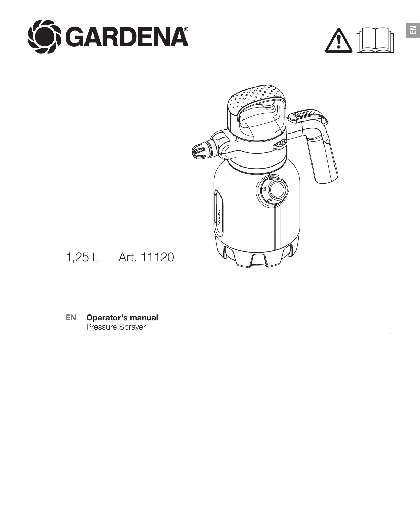





1,25 L Art. 11120

**EN Operator's manual** Pressure Sprayer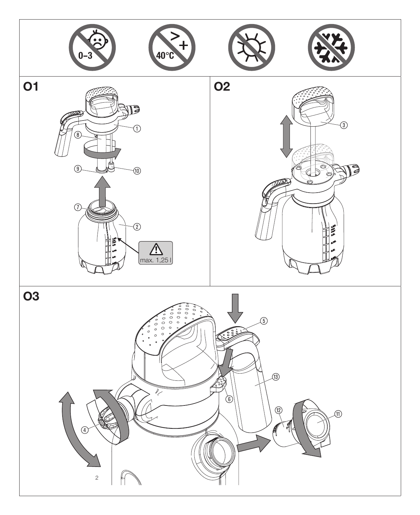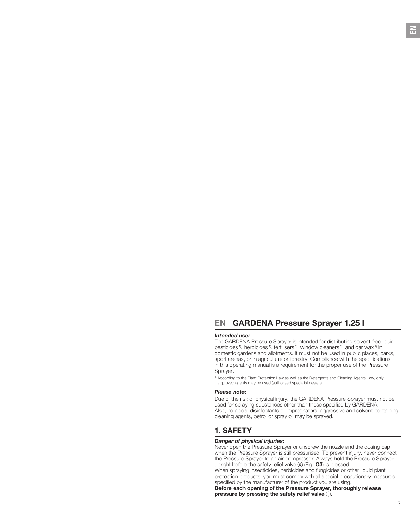# **EN GARDENA Pressure Sprayer 1.25 l**

# *Intended use:*

The GARDENA Pressure Sprayer is intended for distributing solvent-free liquid pesticides <sup>1</sup>), herbicides <sup>1</sup>), fertilisers <sup>1</sup>), window cleaners <sup>1</sup>), and car wax <sup>1)</sup> in domestic gardens and allotments. It must not be used in public places, parks, sport arenas, or in agriculture or forestry. Compliance with the specifications in this operating manual is a requirement for the proper use of the Pressure Sprayer.

1) According to the Plant Protection Law as well as the Detergents and Cleaning Agents Law, only approved agents may be used (authorised specialist dealers).

#### *Please note:*

Due of the risk of physical injury, the GARDENA Pressure Sprayer must not be used for spraying substances other than those specified by GARDENA. Also, no acids, disinfectants or impregnators, aggressive and solvent-containing cleaning agents, petrol or spray oil may be sprayed.

# **1. SAFETY**

# *Danger of physical injuries:*

Never open the Pressure Sprayer or unscrew the nozzle and the dosing cap when the Pressure Sprayer is still pressurised. To prevent injury, never connect the Pressure Sprayer to an air-compressor. Always hold the Pressure Sprayer upright before the safety relief valve (6) (Fig. **O3**) is pressed. When spraying insecticides, herbicides and fungicides or other liquid plant

protection products, you must comply with all special precautionary measures specified by the manufacturer of the product you are using.

**Before each opening of the Pressure Sprayer, thoroughly release pressure by pressing the safety relief valve** (6)**.**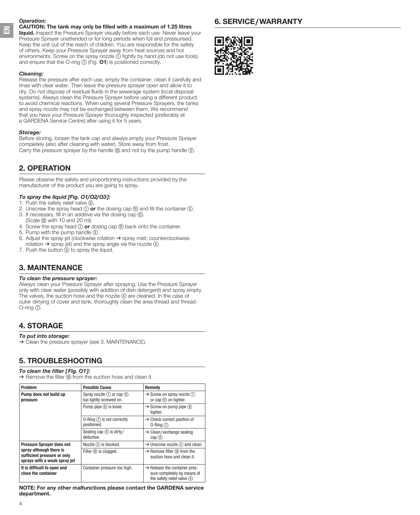# *Operation:*

**EN**

### **CAUTION: The tank may only be filled with a maximum of 1.25 litres**

**liquid.** Inspect the Pressure Sprayer visually before each use. Never leave your Pressure Sprayer unattended or for long periods when full and pressurised. Keep the unit out of the reach of children. You are responsible for the safety of others. Keep your Pressure Sprayer away from heat sources and hot environments. Screw on the spray nozzle  $\overline{0}$  tightly by hand (do not use tools) and ensure that the O-ring  $\odot$  (Fig. 01) is positioned correctly.

# *Cleaning:*

Release the pressure after each use, empty the container, clean it carefully and rinse with clear water. Then leave the pressure sprayer open and allow it to dry. Do not dispose of residual fluids in the sewerage system (local disposal systems). Always clean the Pressure Sprayer before using a different product to avoid chemical reactions. When using several Pressure Sprayers, the tanks and spray nozzle may not be exchanged between them. We recommend that you have your Pressure Sprayer thoroughly inspected (preferably at a GARDENA Service Centre) after using it for 5 years.

# *Storage:*

Before storing, loosen the tank cap and always empty your Pressure Sprayer completely (also after cleaning with water). Store away from frost. Carry the pressure sprayer by the handle (3) and not by the pump handle (3).

# **2. OPERATION**

Please observe the safety and proportioning instructions provided by the manufacturer of the product you are going to spray.

# *To spray the liquid [Fig. O1/O2/O3]:*

- 1. Push the safety relief valve (6).
- 2. Unscrew the spray head  $(1)$  or the dosing cap  $(1)$  and fill the container  $(2)$ . 3. If necessary, fill in an additive via the dosing cap (fi).
- (Scale  $$(2)$  with 10 and 20 ml).$
- 4. Screw the spray head (1) **or** dosing cap (11) back onto the container.
- 5. Pump with the pump handle (3).
- 6. Adjust the spray jet (clockwise rotation  $\rightarrow$  spray mist; counterclockwise rotation  $\rightarrow$  spray jet) and the spray angle via the nozzle  $\circledA$ .
- 7. Push the button  $\circledS$  to spray the liquid.

# **3. MAINTENANCE**

# *To clean the pressure sprayer:*

Always clean your Pressure Sprayer after spraying. Use the Pressure Sprayer only with clear water (possibly with addition of dish detergent) and spray empty. The valves, the suction hose and the nozzle 4 are cleaned. In the case of outer dirtying of cover and tank, thoroughly clean the area thread and thread- $O$ -ring  $(7)$ .

# **4. STORAGE**

# *To put into storage:*

 $\rightarrow$  Clean the pressure sprayer (see 3. MAINTENANCE).

# **5. TROUBLESHOOTING**

# *To clean the filter [Fig. O1]:*

 $\rightarrow$  Remove the filter  $\omega$  from the suction hose and clean it.

| Problem                                                                                                                    | <b>Possible Cause</b>                                      | Remedy                                                                                                   |
|----------------------------------------------------------------------------------------------------------------------------|------------------------------------------------------------|----------------------------------------------------------------------------------------------------------|
| Pump does not build up<br>pressure                                                                                         | Spray nozzle $(1)$ or cap $(1)$<br>too lightly screwed on. | $\rightarrow$ Screw on spray nozzle $(1)$<br>or cap (ii) on tighter.                                     |
|                                                                                                                            | Pump pipe $(\mathbf{\delta})$ is loose.                    | $\rightarrow$ Screw on pump pipe $\circledR$<br>tighter.                                                 |
|                                                                                                                            | 0-Ring $(7)$ is not correctly<br>positioned.               | $\rightarrow$ Check correct position of<br>$0$ -Ring $(7)$ .                                             |
|                                                                                                                            | Sealing cap (9) is dirty/<br>defective.                    | $\rightarrow$ Clean/exchange sealing<br>$cap(9)$ .                                                       |
| <b>Pressure Sprayer does not</b><br>spray although there is<br>sufficient pressure or only<br>sprays with a weak spray jet | Nozzle $(4)$ is blocked.                                   | $\rightarrow$ Unscrew nozzle $\left(4\right)$ and clean.                                                 |
|                                                                                                                            | Filter (ii) is cloqued.                                    | $\rightarrow$ Remove filter (ii) from the<br>suction hose and clean it.                                  |
| It is difficult to open and<br>close the container                                                                         | Container pressure too high.                               | $\rightarrow$ Release the container pres-<br>sure completely by means of<br>the safety relief valve (6). |

**NOTE: For any other malfunctions please contact the GARDENA service department.**



**6. SERVICE/WARRANTY**